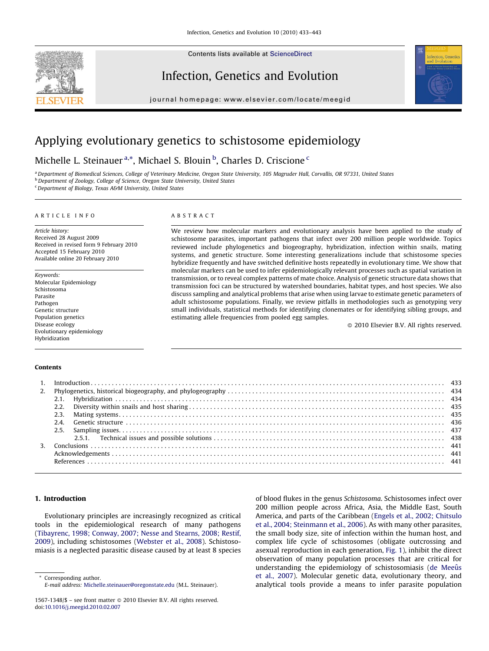

Contents lists available at [ScienceDirect](http://www.sciencedirect.com/science/journal/15671348)

## Infection, Genetics and Evolution



journal homepage: www.elsevier.com/locate/meegid

# Applying evolutionary genetics to schistosome epidemiology

### Michelle L. Steinauer<sup>a,\*</sup>, Michael S. Blouin<sup>b</sup>, Charles D. Criscione<sup>c</sup>

<sup>a</sup> Department of Biomedical Sciences, College of Veterinary Medicine, Oregon State University, 105 Magruder Hall, Corvallis, OR 97331, United States **b** Department of Zoology, College of Science, Oregon State University, United States <sup>c</sup> Department of Biology, Texas A&M University, United States

#### ARTICLE INFO

Article history: Received 28 August 2009 Received in revised form 9 February 2010 Accepted 15 February 2010 Available online 20 February 2010

Keywords: Molecular Epidemiology Schistosoma Parasite Pathogen Genetic structure Population genetics Disease ecology Evolutionary epidemiology Hybridization

### ABSTRACT

We review how molecular markers and evolutionary analysis have been applied to the study of schistosome parasites, important pathogens that infect over 200 million people worldwide. Topics reviewed include phylogenetics and biogeography, hybridization, infection within snails, mating systems, and genetic structure. Some interesting generalizations include that schistosome species hybridize frequently and have switched definitive hosts repeatedly in evolutionary time. We show that molecular markers can be used to infer epidemiologically relevant processes such as spatial variation in transmission, or to reveal complex patterns of mate choice. Analysis of genetic structure data shows that transmission foci can be structured by watershed boundaries, habitat types, and host species. We also discuss sampling and analytical problems that arise when using larvae to estimate genetic parameters of adult schistosome populations. Finally, we review pitfalls in methodologies such as genotyping very small individuals, statistical methods for identifying clonemates or for identifying sibling groups, and estimating allele frequencies from pooled egg samples.

- 2010 Elsevier B.V. All rights reserved.

#### Contents

#### 1. Introduction

Evolutionary principles are increasingly recognized as critical tools in the epidemiological research of many pathogens ([Tibayrenc, 1998; Conway, 2007; Nesse and Stearns, 2008; Restif,](#page-10-0) [2009\)](#page-10-0), including schistosomes [\(Webster et al., 2008](#page-10-0)). Schistosomiasis is a neglected parasitic disease caused by at least 8 species of blood flukes in the genus Schistosoma. Schistosomes infect over 200 million people across Africa, Asia, the Middle East, South America, and parts of the Caribbean ([Engels et al., 2002; Chitsulo](#page-9-0) [et al., 2004; Steinmann et al., 2006](#page-9-0)). As with many other parasites, the small body size, site of infection within the human host, and complex life cycle of schistosomes (obligate outcrossing and asexual reproduction in each generation, [Fig. 1](#page-1-0)), inhibit the direct observation of many population processes that are critical for understanding the epidemiology of schistosomiasis (de Meeûs [et al., 2007](#page-9-0)). Molecular genetic data, evolutionary theory, and analytical tools provide a means to infer parasite population

Corresponding author. E-mail address: [Michelle.steinauer@oregonstate.edu](mailto:Michelle.steinauer@oregonstate.edu) (M.L. Steinauer).

<sup>1567-1348/\$ -</sup> see front matter @ 2010 Elsevier B.V. All rights reserved. doi:[10.1016/j.meegid.2010.02.007](http://dx.doi.org/10.1016/j.meegid.2010.02.007)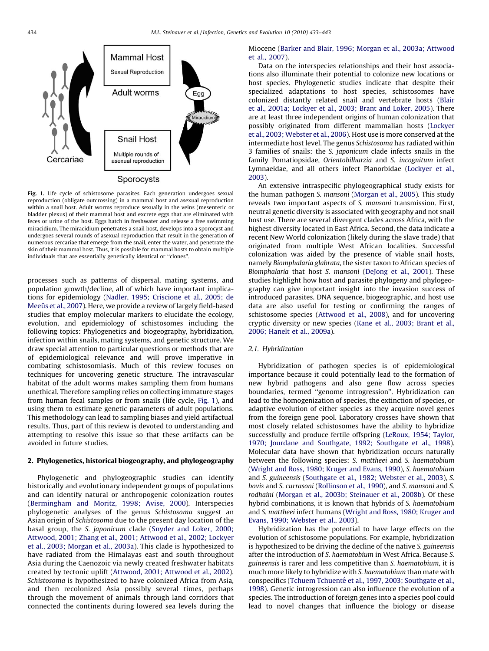<span id="page-1-0"></span>

Fig. 1. Life cycle of schistosome parasites. Each generation undergoes sexual reproduction (obligate outcrossing) in a mammal host and asexual reproduction within a snail host. Adult worms reproduce sexually in the veins (mesenteric or bladder plexus) of their mammal host and excrete eggs that are eliminated with feces or urine of the host. Eggs hatch in freshwater and release a free swimming miracidium. The miracidium penetrates a snail host, develops into a sporocyst and undergoes several rounds of asexual reproduction that result in the generation of numerous cercariae that emerge from the snail, enter the water, and penetrate the skin of their mammal host. Thus, it is possible for mammal hosts to obtain multiple individuals that are essentially genetically identical or ''clones''.

processes such as patterns of dispersal, mating systems, and population growth/decline, all of which have important implications for epidemiology [\(Nadler, 1995; Criscione et al., 2005; de](#page-9-0) Meeû[s et al., 2007\)](#page-9-0). Here, we provide a review of largely field-based studies that employ molecular markers to elucidate the ecology, evolution, and epidemiology of schistosomes including the following topics: Phylogenetics and biogeography, hybridization, infection within snails, mating systems, and genetic structure. We draw special attention to particular questions or methods that are of epidemiological relevance and will prove imperative in combating schistosomiasis. Much of this review focuses on techniques for uncovering genetic structure. The intravascular habitat of the adult worms makes sampling them from humans unethical. Therefore sampling relies on collecting immature stages from human fecal samples or from snails (life cycle, Fig. 1), and using them to estimate genetic parameters of adult populations. This methodology can lead to sampling biases and yield artifactual results. Thus, part of this review is devoted to understanding and attempting to resolve this issue so that these artifacts can be avoided in future studies.

#### 2. Phylogenetics, historical biogeography, and phylogeography

Phylogenetic and phylogeographic studies can identify historically and evolutionary independent groups of populations and can identify natural or anthropogenic colonization routes ([Bermingham and Moritz, 1998; Avise, 2000](#page-8-0)). Interspecies phylogenetic analyses of the genus Schistosoma suggest an Asian origin of Schistosoma due to the present day location of the basal group, the S. japonicum clade ([Snyder and Loker, 2000;](#page-10-0) [Attwood, 2001; Zhang et al., 2001; Attwood et al., 2002; Lockyer](#page-10-0) [et al., 2003; Morgan et al., 2003a](#page-10-0)). This clade is hypothesized to have radiated from the Himalayas east and south throughout Asia during the Caenozoic via newly created freshwater habitats created by tectonic uplift ([Attwood, 2001; Attwood et al., 2002\)](#page-8-0). Schistosoma is hypothesized to have colonized Africa from Asia, and then recolonized Asia possibly several times, perhaps through the movement of animals through land corridors that connected the continents during lowered sea levels during the Miocene ([Barker and Blair, 1996; Morgan et al., 2003a; Attwood](#page-8-0) [et al., 2007](#page-8-0)).

Data on the interspecies relationships and their host associations also illuminate their potential to colonize new locations or host species. Phylogenetic studies indicate that despite their specialized adaptations to host species, schistosomes have colonized distantly related snail and vertebrate hosts [\(Blair](#page-8-0) [et al., 2001a; Lockyer et al., 2003; Brant and Loker, 2005](#page-8-0)). There are at least three independent origins of human colonization that possibly originated from different mammalian hosts [\(Lockyer](#page-9-0) [et al., 2003; Webster et al., 2006](#page-9-0)). Host use is more conserved at the intermediate host level. The genus Schistosoma has radiated within 3 families of snails: the S. japonicum clade infects snails in the family Pomatiopsidae, Orientobilharzia and S. incognitum infect Lymnaeidae, and all others infect Planorbidae ([Lockyer et al.,](#page-9-0) [2003\)](#page-9-0).

An extensive intraspecific phylogeographical study exists for the human pathogen S. mansoni [\(Morgan et al., 2005](#page-9-0)). This study reveals two important aspects of S. mansoni transmission. First, neutral genetic diversity is associated with geography and not snail host use. There are several divergent clades across Africa, with the highest diversity located in East Africa. Second, the data indicate a recent New World colonization (likely during the slave trade) that originated from multiple West African localities. Successful colonization was aided by the presence of viable snail hosts, namely Biomphalaria glabrata, the sister taxon to African species of Biomphalaria that host S. mansoni [\(DeJong et al., 2001](#page-9-0)). These studies highlight how host and parasite phylogeny and phylogeography can give important insight into the invasion success of introduced parasites. DNA sequence, biogeographic, and host use data are also useful for testing or confirming the ranges of schistosome species ([Attwood et al., 2008\)](#page-8-0), and for uncovering cryptic diversity or new species ([Kane et al., 2003; Brant et al.,](#page-9-0) [2006; Hanelt et al., 2009a\)](#page-9-0).

#### 2.1. Hybridization

Hybridization of pathogen species is of epidemiological importance because it could potentially lead to the formation of new hybrid pathogens and also gene flow across species boundaries, termed ''genome introgression''. Hybridization can lead to the homogenization of species, the extinction of species, or adaptive evolution of either species as they acquire novel genes from the foreign gene pool. Laboratory crosses have shown that most closely related schistosomes have the ability to hybridize successfully and produce fertile offspring ([LeRoux, 1954; Taylor,](#page-9-0) [1970; Jourdane and Southgate, 1992; Southgate et al., 1998\)](#page-9-0). Molecular data have shown that hybridization occurs naturally between the following species: S. mattheei and S. haematobium ([Wright and Ross, 1980; Kruger and Evans, 1990\)](#page-10-0), S. haematobium and S. guineensis [\(Southgate et al., 1982; Webster et al., 2003](#page-10-0)), S. bovis and S. currasoni ([Rollinson et al., 1990\)](#page-10-0), and S. mansoni and S. rodhaini ([Morgan et al., 2003b; Steinauer et al., 2008b\)](#page-9-0). Of these hybrid combinations, it is known that hybrids of S. haematobium and S. mattheei infect humans ([Wright and Ross, 1980; Kruger and](#page-10-0) [Evans, 1990; Webster et al., 2003](#page-10-0)).

Hybridization has the potential to have large effects on the evolution of schistosome populations. For example, hybridization is hypothesized to be driving the decline of the native S. guineensis after the introduction of S. haematobium in West Africa. Because S. guineensis is rarer and less competitive than S. haematobium, it is much more likely to hybridize with S. haematobium than mate with conspecifics (Tchuem Tchuenté [et al., 1997, 2003; Southgate et al.,](#page-10-0) [1998](#page-10-0)). Genetic introgression can also influence the evolution of a species. The introduction of foreign genes into a species pool could lead to novel changes that influence the biology or disease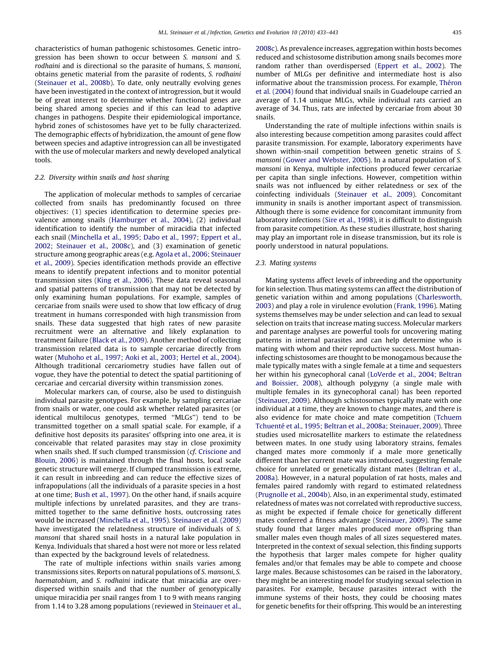<span id="page-2-0"></span>characteristics of human pathogenic schistosomes. Genetic introgression has been shown to occur between S. mansoni and S. rodhaini and is directional so the parasite of humans, S. mansoni, obtains genetic material from the parasite of rodents, S. rodhaini ([Steinauer et al., 2008b](#page-10-0)). To date, only neutrally evolving genes have been investigated in the context of introgression, but it would be of great interest to determine whether functional genes are being shared among species and if this can lead to adaptive changes in pathogens. Despite their epidemiological importance, hybrid zones of schistosomes have yet to be fully characterized. The demographic effects of hybridization, the amount of gene flow between species and adaptive introgression can all be investigated with the use of molecular markers and newly developed analytical tools.

#### 2.2. Diversity within snails and host sharing

The application of molecular methods to samples of cercariae collected from snails has predominantly focused on three objectives: (1) species identification to determine species prevalence among snails ([Hamburger et al., 2004](#page-9-0)), (2) individual identification to identify the number of miracidia that infected each snail [\(Minchella et al., 1995; Dabo et al., 1997; Eppert et al.,](#page-9-0) [2002; Steinauer et al., 2008c](#page-9-0)), and (3) examination of genetic structure among geographic areas (e.g. [Agola et al., 2006; Steinauer](#page-8-0) [et al., 2009](#page-8-0)). Species identification methods provide an effective means to identify prepatent infections and to monitor potential transmission sites [\(King et al., 2006\)](#page-9-0). These data reveal seasonal and spatial patterns of transmission that may not be detected by only examining human populations. For example, samples of cercariae from snails were used to show that low efficacy of drug treatment in humans corresponded with high transmission from snails. These data suggested that high rates of new parasite recruitment were an alternative and likely explanation to treatment failure ([Black et al., 2009\)](#page-8-0). Another method of collecting transmission related data is to sample cercariae directly from water [\(Muhoho et al., 1997; Aoki et al., 2003; Hertel et al., 2004\)](#page-9-0). Although traditional cercariometry studies have fallen out of vogue, they have the potential to detect the spatial partitioning of cercariae and cercarial diversity within transmission zones.

Molecular markers can, of course, also be used to distinguish individual parasite genotypes. For example, by sampling cercariae from snails or water, one could ask whether related parasites (or identical multilocus genotypes, termed ''MLGs'') tend to be transmitted together on a small spatial scale. For example, if a definitive host deposits its parasites' offspring into one area, it is conceivable that related parasites may stay in close proximity when snails shed. If such clumped transmission (cf. [Criscione and](#page-8-0) [Blouin, 2006\)](#page-8-0) is maintained through the final hosts, local scale genetic structure will emerge. If clumped transmission is extreme, it can result in inbreeding and can reduce the effective sizes of infrapopulations (all the individuals of a parasite species in a host at one time; [Bush et al., 1997](#page-8-0)). On the other hand, if snails acquire multiple infections by unrelated parasites, and they are transmitted together to the same definitive hosts, outcrossing rates would be increased [\(Minchella et al., 1995\)](#page-9-0). [Steinauer et al. \(2009\)](#page-10-0) have investigated the relatedness structure of individuals of S. mansoni that shared snail hosts in a natural lake population in Kenya. Individuals that shared a host were not more or less related than expected by the background levels of relatedness.

The rate of multiple infections within snails varies among transmissions sites. Reports on natural populations of S. mansoni, S. haematobium, and S. rodhaini indicate that miracidia are overdispersed within snails and that the number of genotypically unique miracidia per snail ranges from 1 to 9 with means ranging from 1.14 to 3.28 among populations (reviewed in [Steinauer et al.,](#page-10-0) [2008c\)](#page-10-0). As prevalence increases, aggregation within hosts becomes reduced and schistosome distribution among snails becomes more random rather than overdispersed ([Eppert et al., 2002](#page-9-0)). The number of MLGs per definitive and intermediate host is also informative about the transmission process. For example, Théron [et al. \(2004\)](#page-10-0) found that individual snails in Guadeloupe carried an average of 1.14 unique MLGs, while individual rats carried an average of 34. Thus, rats are infected by cercariae from about 30 snails.

Understanding the rate of multiple infections within snails is also interesting because competition among parasites could affect parasite transmission. For example, laboratory experiments have shown within-snail competition between genetic strains of S. mansoni [\(Gower and Webster, 2005](#page-9-0)). In a natural population of S. mansoni in Kenya, multiple infections produced fewer cercariae per capita than single infections. However, competition within snails was not influenced by either relatedness or sex of the coinfecting individuals [\(Steinauer et al., 2009\)](#page-10-0). Concomitant immunity in snails is another important aspect of transmission. Although there is some evidence for concomitant immunity from laboratory infections [\(Sire et al., 1998\)](#page-10-0), it is difficult to distinguish from parasite competition. As these studies illustrate, host sharing may play an important role in disease transmission, but its role is poorly understood in natural populations.

#### 2.3. Mating systems

Mating systems affect levels of inbreeding and the opportunity for kin selection. Thus mating systems can affect the distribution of genetic variation within and among populations [\(Charlesworth,](#page-8-0) [2003\)](#page-8-0) and play a role in virulence evolution [\(Frank, 1996](#page-9-0)). Mating systems themselves may be under selection and can lead to sexual selection on traits that increase mating success. Molecular markers and parentage analyses are powerful tools for uncovering mating patterns in internal parasites and can help determine who is mating with whom and their reproductive success. Most humaninfecting schistosomes are thought to be monogamous because the male typically mates with a single female at a time and sequesters her within his gynecophoral canal [\(LoVerde et al., 2004; Beltran](#page-9-0) [and Boissier, 2008\)](#page-9-0), although polygyny (a single male with multiple females in its gynecophoral canal) has been reported ([Steinauer, 2009](#page-10-0)). Although schistosomes typically mate with one individual at a time, they are known to change mates, and there is also evidence for mate choice and mate competition ([Tchuem](#page-10-0) Tchuenté [et al., 1995; Beltran et al., 2008a; Steinauer, 2009\)](#page-10-0). Three studies used microsatellite markers to estimate the relatedness between mates. In one study using laboratory strains, females changed mates more commonly if a male more genetically different than her current mate was introduced, suggesting female choice for unrelated or genetically distant mates ([Beltran et al.,](#page-8-0) [2008a\)](#page-8-0). However, in a natural population of rat hosts, males and females paired randomly with regard to estimated relatedness ([Prugnolle et al., 2004b\)](#page-9-0). Also, in an experimental study, estimated relatedness of mates was not correlated with reproductive success, as might be expected if female choice for genetically different mates conferred a fitness advantage ([Steinauer, 2009\)](#page-10-0). The same study found that larger males produced more offspring than smaller males even though males of all sizes sequestered mates. Interpreted in the context of sexual selection, this finding supports the hypothesis that larger males compete for higher quality females and/or that females may be able to compete and choose large males. Because schistosomes can be raised in the laboratory, they might be an interesting model for studying sexual selection in parasites. For example, because parasites interact with the immune systems of their hosts, they could be choosing mates for genetic benefits for their offspring. This would be an interesting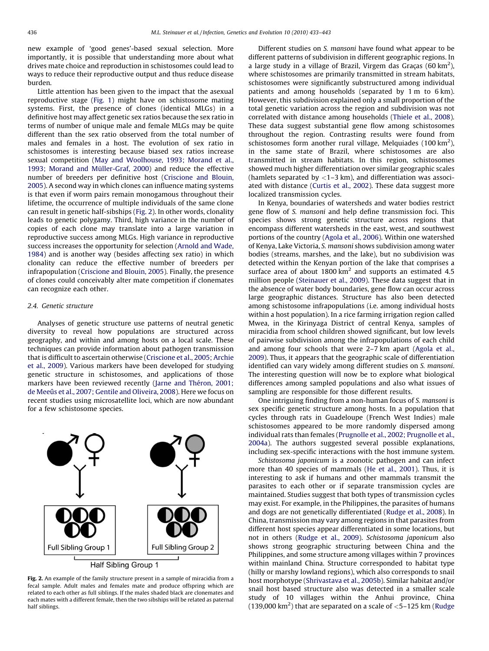<span id="page-3-0"></span>new example of 'good genes'-based sexual selection. More importantly, it is possible that understanding more about what drives mate choice and reproduction in schistosomes could lead to ways to reduce their reproductive output and thus reduce disease burden.

Little attention has been given to the impact that the asexual reproductive stage ([Fig. 1](#page-1-0)) might have on schistosome mating systems. First, the presence of clones (identical MLGs) in a definitive host may affect genetic sex ratios because the sex ratio in terms of number of unique male and female MLGs may be quite different than the sex ratio observed from the total number of males and females in a host. The evolution of sex ratio in schistosomes is interesting because biased sex ratios increase sexual competition [\(May and Woolhouse, 1993; Morand et al.,](#page-9-0) 1993; Morand and Müller-Graf, 2000) and reduce the effective number of breeders per definitive host ([Criscione and Blouin,](#page-8-0) [2005\)](#page-8-0). A second way in which clones can influence mating systems is that even if worm pairs remain monogamous throughout their lifetime, the occurrence of multiple individuals of the same clone can result in genetic half-sibships (Fig. 2). In other words, clonality leads to genetic polygamy. Third, high variance in the number of copies of each clone may translate into a large variation in reproductive success among MLGs. High variance in reproductive success increases the opportunity for selection [\(Arnold and Wade,](#page-8-0) [1984](#page-8-0)) and is another way (besides affecting sex ratio) in which clonality can reduce the effective number of breeders per infrapopulation [\(Criscione and Blouin, 2005\)](#page-8-0). Finally, the presence of clones could conceivably alter mate competition if clonemates can recognize each other.

#### 2.4. Genetic structure

Analyses of genetic structure use patterns of neutral genetic diversity to reveal how populations are structured across geography, and within and among hosts on a local scale. These techniques can provide information about pathogen transmission that is difficult to ascertain otherwise ([Criscione et al., 2005; Archie](#page-8-0) [et al., 2009](#page-8-0)). Various markers have been developed for studying genetic structure in schistosomes, and applications of those markers have been reviewed recently (Jarne and Théron, 2001; de Meeûs et al., 2007; Gentile and Oliveira, 2008). Here we focus on recent studies using microsatellite loci, which are now abundant for a few schistosome species.



Fig. 2. An example of the family structure present in a sample of miracidia from a fecal sample. Adult males and females mate and produce offspring which are related to each other as full siblings. If the males shaded black are clonemates and each mates with a different female, then the two sibships will be related as paternal half siblings.

Different studies on S. mansoni have found what appear to be different patterns of subdivision in different geographic regions. In a large study in a village of Brazil, Virgem das Graças (60 km<sup>2</sup>), where schistosomes are primarily transmitted in stream habitats, schistosomes were significantly substructured among individual patients and among households (separated by 1 m to 6 km). However, this subdivision explained only a small proportion of the total genetic variation across the region and subdivision was not correlated with distance among households [\(Thiele et al., 2008\)](#page-10-0). These data suggest substantial gene flow among schistosomes throughout the region. Contrasting results were found from schistosomes form another rural village, Melquiades (100  $\text{km}^2$ ), in the same state of Brazil, where schistosomes are also transmitted in stream habitats. In this region, schistosomes showed much higher differentiation over similar geographic scales (hamlets separated by  $<$ 1–3 km), and differentiation was associated with distance ([Curtis et al., 2002\)](#page-9-0). These data suggest more localized transmission cycles.

In Kenya, boundaries of watersheds and water bodies restrict gene flow of S. mansoni and help define transmission foci. This species shows strong genetic structure across regions that encompass different watersheds in the east, west, and southwest portions of the country [\(Agola et al., 2006](#page-8-0)). Within one watershed of Kenya, Lake Victoria, S. mansoni shows subdivision among water bodies (streams, marshes, and the lake), but no subdivision was detected within the Kenyan portion of the lake that comprises a surface area of about  $1800 \text{ km}^2$  and supports an estimated 4.5 million people ([Steinauer et al., 2009](#page-10-0)). These data suggest that in the absence of water body boundaries, gene flow can occur across large geographic distances. Structure has also been detected among schistosome infrapopulations (i.e. among individual hosts within a host population). In a rice farming irrigation region called Mwea, in the Kirinyaga District of central Kenya, samples of miracidia from school children showed significant, but low levels of pairwise subdivision among the infrapopulations of each child and among four schools that were 2–7 km apart [\(Agola et al.,](#page-8-0) [2009\)](#page-8-0). Thus, it appears that the geographic scale of differentiation identified can vary widely among different studies on S. mansoni. The interesting question will now be to explore what biological differences among sampled populations and also what issues of sampling are responsible for those different results.

One intriguing finding from a non-human focus of S. mansoni is sex specific genetic structure among hosts. In a population that cycles through rats in Guadeloupe (French West Indies) male schistosomes appeared to be more randomly dispersed among individual rats than females ([Prugnolle et al., 2002; Prugnolle et al.,](#page-9-0) [2004a](#page-9-0)). The authors suggested several possible explanations, including sex-specific interactions with the host immune system.

Schistosoma japonicum is a zoonotic pathogen and can infect more than 40 species of mammals [\(He et al., 2001\)](#page-9-0). Thus, it is interesting to ask if humans and other mammals transmit the parasites to each other or if separate transmission cycles are maintained. Studies suggest that both types of transmission cycles may exist. For example, in the Philippines, the parasites of humans and dogs are not genetically differentiated ([Rudge et al., 2008\)](#page-10-0). In China, transmission may vary among regions in that parasites from different host species appear differentiated in some locations, but not in others [\(Rudge et al., 2009](#page-10-0)). Schistosoma japonicum also shows strong geographic structuring between China and the Philippines, and some structure among villages within 7 provinces within mainland China. Structure corresponded to habitat type (hilly or marshy lowland regions), which also corresponds to snail host morphotype ([Shrivastava et al., 2005b](#page-10-0)). Similar habitat and/or snail host based structure also was detected in a smaller scale study of 10 villages within the Anhui province, China (139,000 km<sup>2</sup>) that are separated on a scale of  $<$  5-125 km ([Rudge](#page-10-0)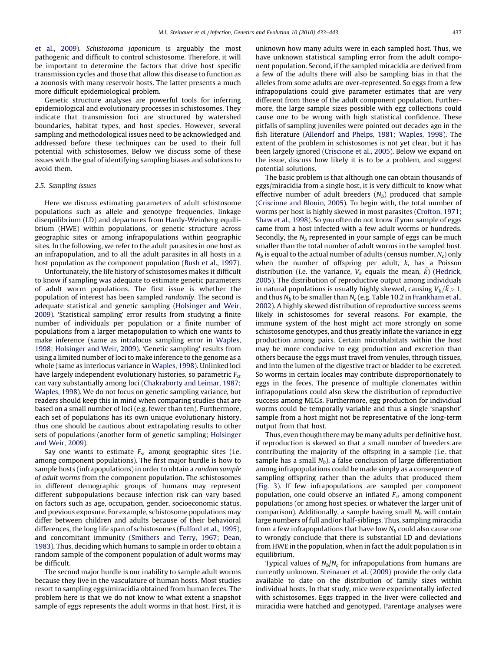[et al., 2009](#page-10-0)). Schistosoma japonicum is arguably the most pathogenic and difficult to control schistosome. Therefore, it will be important to determine the factors that drive host specific transmission cycles and those that allow this disease to function as a zoonosis with many reservoir hosts. The latter presents a much more difficult epidemiological problem.

Genetic structure analyses are powerful tools for inferring epidemiological and evolutionary processes in schistosomes. They indicate that transmission foci are structured by watershed boundaries, habitat types, and host species. However, several sampling and methodological issues need to be acknowledged and addressed before these techniques can be used to their full potential with schistosomes. Below we discuss some of these issues with the goal of identifying sampling biases and solutions to avoid them.

#### 2.5. Sampling issues

Here we discuss estimating parameters of adult schistosome populations such as allele and genotype frequencies, linkage disequilibrium (LD) and departures from Hardy-Weinberg equilibrium (HWE) within populations, or genetic structure across geographic sites or among infrapopulations within geographic sites. In the following, we refer to the adult parasites in one host as an infrapopulation, and to all the adult parasites in all hosts in a host population as the component population ([Bush et al., 1997\)](#page-8-0).

Unfortunately, the life history of schistosomes makes it difficult to know if sampling was adequate to estimate genetic parameters of adult worm populations. The first issue is whether the population of interest has been sampled randomly. The second is adequate statistical and genetic sampling [\(Holsinger and Weir,](#page-9-0) [2009\)](#page-9-0). 'Statistical sampling' error results from studying a finite number of individuals per population or a finite number of populations from a larger metapopulation to which one wants to make inference (same as intralocus sampling error in [Waples,](#page-10-0) [1998; Holsinger and Weir, 2009\)](#page-10-0). 'Genetic sampling' results from using a limited number of loci to make inference to the genome as a whole (same as interlocus variance in [Waples, 1998\)](#page-10-0). Unlinked loci have largely independent evolutionary histories, so parametric  $F_{\rm st}$ can vary substantially among loci [\(Chakraborty and Leimar, 1987;](#page-8-0) [Waples, 1998](#page-8-0)). We do not focus on genetic sampling variance, but readers should keep this in mind when comparing studies that are based on a small number of loci (e.g. fewer than ten). Furthermore, each set of populations has its own unique evolutionary history, thus one should be cautious about extrapolating results to other sets of populations (another form of genetic sampling; [Holsinger](#page-9-0) [and Weir, 2009](#page-9-0)).

Say one wants to estimate  $F_{st}$  among geographic sites (i.e. among component populations). The first major hurdle is how to sample hosts (infrapopulations) in order to obtain a random sample of adult worms from the component population. The schistosomes in different demographic groups of humans may represent different subpopulations because infection risk can vary based on factors such as age, occupation, gender, socioeconomic status, and previous exposure. For example, schistosome populations may differ between children and adults because of their behavioral differences, the long life span of schistosomes ([Fulford et al., 1995\)](#page-9-0), and concomitant immunity [\(Smithers and Terry, 1967; Dean,](#page-10-0) [1983\)](#page-10-0). Thus, deciding which humans to sample in order to obtain a random sample of the component population of adult worms may be difficult.

The second major hurdle is our inability to sample adult worms because they live in the vasculature of human hosts. Most studies resort to sampling eggs/miracidia obtained from human feces. The problem here is that we do not know to what extent a snapshot sample of eggs represents the adult worms in that host. First, it is unknown how many adults were in each sampled host. Thus, we have unknown statistical sampling error from the adult component population. Second, if the sampled miracidia are derived from a few of the adults there will also be sampling bias in that the alleles from some adults are over-represented. So eggs from a few infrapopulations could give parameter estimates that are very different from those of the adult component population. Furthermore, the large sample sizes possible with egg collections could cause one to be wrong with high statistical confidence. These pitfalls of sampling juveniles were pointed out decades ago in the fish literature [\(Allendorf and Phelps, 1981; Waples, 1998\)](#page-8-0). The extent of the problem in schistosomes is not yet clear, but it has been largely ignored ([Criscione et al., 2005](#page-8-0)). Below we expand on the issue, discuss how likely it is to be a problem, and suggest potential solutions.

The basic problem is that although one can obtain thousands of eggs/miracidia from a single host, it is very difficult to know what effective number of adult breeders  $(N_b)$  produced that sample ([Criscione and Blouin, 2005\)](#page-8-0). To begin with, the total number of worms per host is highly skewed in most parasites ([Crofton, 1971;](#page-9-0) [Shaw et al., 1998](#page-9-0)). So you often do not know if your sample of eggs came from a host infected with a few adult worms or hundreds. Secondly, the  $N_b$  represented in your sample of eggs can be much smaller than the total number of adult worms in the sampled host.  $N_b$  is equal to the actual number of adults (census number,  $N_c$ ) only when the number of offspring per adult,  $k$ , has a Poisson distribution (i.e. the variance,  $V_k$  equals the mean,  $\overline{k}$ ) ([Hedrick,](#page-9-0) [2005\)](#page-9-0). The distribution of reproductive output among individuals in natural populations is usually highly skewed, causing  $V_k/\bar{k} > 1$ , and thus  $N_b$  to be smaller than  $N_c$  (e.g. Table 10.2 in [Frankham et al.,](#page-9-0) [2002\)](#page-9-0). A highly skewed distribution of reproductive success seems likely in schistosomes for several reasons. For example, the immune system of the host might act more strongly on some schistosome genotypes, and thus greatly inflate the variance in egg production among pairs. Certain microhabitats within the host may be more conducive to egg production and excretion than others because the eggs must travel from venules, through tissues, and into the lumen of the digestive tract or bladder to be excreted. So worms in certain locales may contribute disproportionately to eggs in the feces. The presence of multiple clonemates within infrapopulations could also skew the distribution of reproductive success among MLGs. Furthermore, egg production for individual worms could be temporally variable and thus a single 'snapshot' sample from a host might not be representative of the long-term output from that host.

Thus, even though there may be many adults per definitive host, if reproduction is skewed so that a small number of breeders are contributing the majority of the offspring in a sample (i.e. that sample has a small  $N_b$ ), a false conclusion of large differentiation among infrapopulations could be made simply as a consequence of sampling offspring rather than the adults that produced them ([Fig. 3\)](#page-5-0). If few infrapopulations are sampled per component population, one could observe an inflated  $F_{st}$  among component populations (or among host species, or whatever the larger unit of comparison). Additionally, a sample having small  $N_b$  will contain large numbers of full and/or half-siblings. Thus, sampling miracidia from a few infrapopulations that have low  $N_b$  could also cause one to wrongly conclude that there is substantial LD and deviations from HWE in the population, when in fact the adult population is in equilibrium.

Typical values of  $N_b/N_c$  for infrapopulations from humans are currently unknown. [Steinauer et al. \(2009\)](#page-10-0) provide the only data available to date on the distribution of family sizes within individual hosts. In that study, mice were experimentally infected with schistosomes. Eggs trapped in the liver were collected and miracidia were hatched and genotyped. Parentage analyses were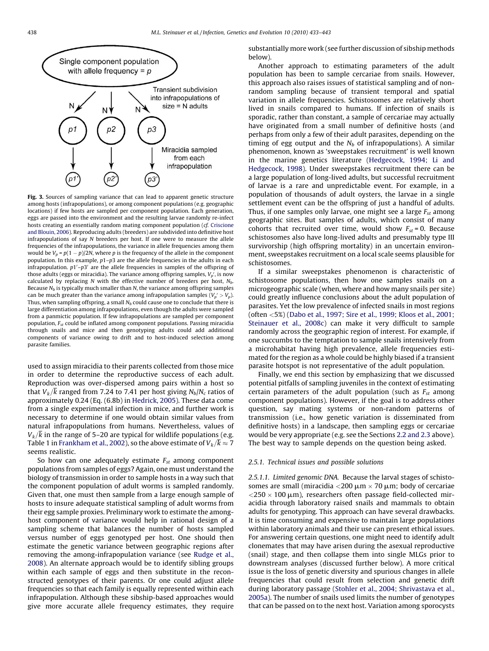<span id="page-5-0"></span>

Fig. 3. Sources of sampling variance that can lead to apparent genetic structure among hosts (infrapopulations), or among component populations (e.g. geographic locations) if few hosts are sampled per component population. Each generation, eggs are passed into the environment and the resulting larvae randomly re-infect hosts creating an essentially random mating component population (cf. [Criscione](#page-8-0) [and Blouin, 2006](#page-8-0)). Reproducing adults (breeders) are subdivided into definitive host infrapopulations of say N breeders per host. If one were to measure the allele frequencies of the infrapopulations, the variance in allele frequencies among them would be  $V_p = p(1 - p)/2N$ , where p is the frequency of the allele in the component population. In this example,  $p1-p3$  are the allele frequencies in the adults in each infrapopulation.  $p1'-p3'$  are the allele frequencies in samples of the offspring of those adults (eggs or miracidia). The variance among offspring samples,  $V_{p'}$ , is now calculated by replacing  $N$  with the effective number of breeders per host,  $N_b$ . Because  $N_b$  is typically much smaller than N, the variance among offspring samples can be much greater than the variance among infrapopulation samples  $(V_p' > V_p)$ . Thus, when sampling offspring, a small  $N_b$  could cause one to conclude that there is large differentiation among infrapopulations, even though the adults were sampled from a panmictic population. If few infrapopulations are sampled per component population,  $F_{st}$  could be inflated among component populations. Passing miracidia through snails and mice and then genotyping adults could add additional components of variance owing to drift and to host-induced selection among parasite families.

used to assign miracidia to their parents collected from those mice in order to determine the reproductive success of each adult. Reproduction was over-dispersed among pairs within a host so that  $V_k/\overline{k}$  ranged from 7.24 to 7.41 per host giving  $N_b/N_c$  ratios of approximately 0.24 (Eq. (6.8b) in [Hedrick, 2005](#page-9-0)). These data come from a single experimental infection in mice, and further work is necessary to determine if one would obtain similar values from natural infrapopulations from humans. Nevertheless, values of  $V_k/\overline{k}$  in the range of 5–20 are typical for wildlife populations (e.g. Table 1 in [Frankham et al., 2002](#page-9-0)), so the above estimate of  ${V}_{k}/k \approx 7$ seems realistic.

So how can one adequately estimate  $F_{st}$  among component populations from samples of eggs? Again, one must understand the biology of transmission in order to sample hosts in a way such that the component population of adult worms is sampled randomly. Given that, one must then sample from a large enough sample of hosts to insure adequate statistical sampling of adult worms from their egg sample proxies. Preliminary work to estimate the amonghost component of variance would help in rational design of a sampling scheme that balances the number of hosts sampled versus number of eggs genotyped per host. One should then estimate the genetic variance between geographic regions after removing the among-infrapopulation variance (see [Rudge et al.,](#page-10-0) [2008\)](#page-10-0). An alternate approach would be to identify sibling groups within each sample of eggs and then substitute in the reconstructed genotypes of their parents. Or one could adjust allele frequencies so that each family is equally represented within each infrapopulation. Although these sibship-based approaches would give more accurate allele frequency estimates, they require substantially more work (see further discussion of sibship methods below).

Another approach to estimating parameters of the adult population has been to sample cercariae from snails. However, this approach also raises issues of statistical sampling and of nonrandom sampling because of transient temporal and spatial variation in allele frequencies. Schistosomes are relatively short lived in snails compared to humans. If infection of snails is sporadic, rather than constant, a sample of cercariae may actually have originated from a small number of definitive hosts (and perhaps from only a few of their adult parasites, depending on the timing of egg output and the  $N_b$  of infrapopulations). A similar phenomenon, known as 'sweepstakes recruitment' is well known in the marine genetics literature ([Hedgecock, 1994; Li and](#page-9-0) [Hedgecock, 1998\)](#page-9-0). Under sweepstakes recruitment there can be a large population of long-lived adults, but successful recruitment of larvae is a rare and unpredictable event. For example, in a population of thousands of adult oysters, the larvae in a single settlement event can be the offspring of just a handful of adults. Thus, if one samples only larvae, one might see a large  $F_{st}$  among geographic sites. But samples of adults, which consist of many cohorts that recruited over time, would show  $F_{st}$  = 0. Because schistosomes also have long-lived adults and presumably type III survivorship (high offspring mortality) in an uncertain environment, sweepstakes recruitment on a local scale seems plausible for schistosomes.

If a similar sweepstakes phenomenon is characteristic of schistosome populations, then how one samples snails on a microgeographic scale (when, where and how many snails per site) could greatly influence conclusions about the adult population of parasites. Yet the low prevalence of infected snails in most regions (often <5%) ([Dabo et al., 1997; Sire et al., 1999; Kloos et al., 2001;](#page-9-0) [Steinauer et al., 2008c\)](#page-9-0) can make it very difficult to sample randomly across the geographic region of interest. For example, if one succumbs to the temptation to sample snails intensively from a microhabitat having high prevalence, allele frequencies estimated for the region as a whole could be highly biased if a transient parasite hotspot is not representative of the adult population.

Finally, we end this section by emphasizing that we discussed potential pitfalls of sampling juveniles in the context of estimating certain parameters of the adult population (such as  $F_{st}$  among component populations). However, if the goal is to address other question, say mating systems or non-random patterns of transmission (i.e., how genetic variation is disseminated from definitive hosts) in a landscape, then sampling eggs or cercariae would be very appropriate (e.g. see the Sections [2.2 and 2.3](#page-2-0) above). The best way to sample depends on the question being asked.

#### 2.5.1. Technical issues and possible solutions

2.5.1.1. Limited genomic DNA. Because the larval stages of schistosomes are small (miracidia  $\langle 200 \mu m \times 70 \mu m$ ; body of cercariae  $<$ 250  $\times$  100  $\mu$ m), researchers often passage field-collected miracidia through laboratory raised snails and mammals to obtain adults for genotyping. This approach can have several drawbacks. It is time consuming and expensive to maintain large populations within laboratory animals and their use can present ethical issues. For answering certain questions, one might need to identify adult clonemates that may have arisen during the asexual reproductive (snail) stage, and then collapse them into single MLGs prior to downstream analyses (discussed further below). A more critical issue is the loss of genetic diversity and spurious changes in allele frequencies that could result from selection and genetic drift during laboratory passage [\(Stohler et al., 2004; Shrivastava et al.,](#page-10-0) [2005a](#page-10-0)). The number of snails used limits the number of genotypes that can be passed on to the next host. Variation among sporocysts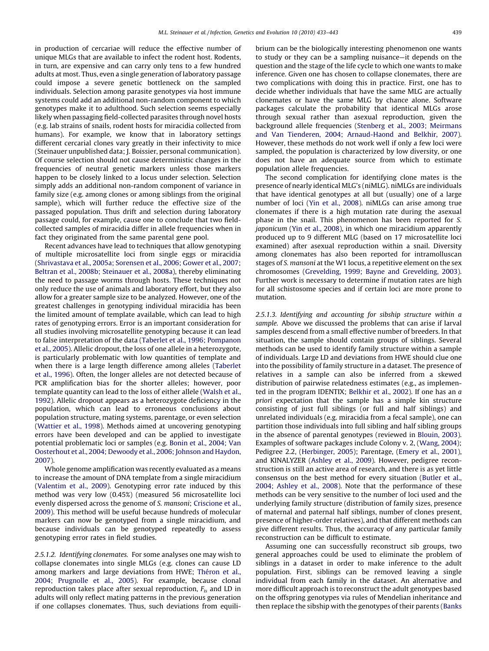in production of cercariae will reduce the effective number of unique MLGs that are available to infect the rodent host. Rodents, in turn, are expensive and can carry only tens to a few hundred adults at most. Thus, even a single generation of laboratory passage could impose a severe genetic bottleneck on the sampled individuals. Selection among parasite genotypes via host immune systems could add an additional non-random component to which genotypes make it to adulthood. Such selection seems especially likely when passaging field-collected parasites through novel hosts (e.g. lab strains of snails, rodent hosts for miracidia collected from humans). For example, we know that in laboratory settings different cercarial clones vary greatly in their infectivity to mice (Steinauer unpublished data; J. Boissier, personal communication). Of course selection should not cause deterministic changes in the frequencies of neutral genetic markers unless those markers happen to be closely linked to a locus under selection. Selection simply adds an additional non-random component of variance in family size (e.g. among clones or among siblings from the original sample), which will further reduce the effective size of the passaged population. Thus drift and selection during laboratory passage could, for example, cause one to conclude that two fieldcollected samples of miracidia differ in allele frequencies when in fact they originated from the same parental gene pool.

Recent advances have lead to techniques that allow genotyping of multiple microsatellite loci from single eggs or miracidia ([Shrivastava et al., 2005a; Sorensen et al., 2006; Gower et al., 2007;](#page-10-0) [Beltran et al., 2008b; Steinauer et al., 2008a](#page-10-0)), thereby eliminating the need to passage worms through hosts. These techniques not only reduce the use of animals and laboratory effort, but they also allow for a greater sample size to be analyzed. However, one of the greatest challenges in genotyping individual miracidia has been the limited amount of template available, which can lead to high rates of genotyping errors. Error is an important consideration for all studies involving microsatellite genotyping because it can lead to false interpretation of the data ([Taberlet et al., 1996; Pompanon](#page-10-0) [et al., 2005](#page-10-0)). Allelic dropout, the loss of one allele in a heterozygote, is particularly problematic with low quantities of template and when there is a large length difference among alleles [\(Taberlet](#page-10-0) [et al., 1996](#page-10-0)). Often, the longer alleles are not detected because of PCR amplification bias for the shorter alleles; however, poor template quantity can lead to the loss of either allele [\(Walsh et al.,](#page-10-0) [1992\)](#page-10-0). Allelic dropout appears as a heterozygote deficiency in the population, which can lead to erroneous conclusions about population structure, mating systems, parentage, or even selection ([Wattier et al., 1998](#page-10-0)). Methods aimed at uncovering genotyping errors have been developed and can be applied to investigate potential problematic loci or samples (e.g. [Bonin et al., 2004; Van](#page-8-0) [Oosterhout et al., 2004; Dewoody et al., 2006; Johnson and Haydon,](#page-8-0) [2007\)](#page-8-0).

Whole genome amplification was recently evaluated as a means to increase the amount of DNA template from a single miracidium ([Valentim et al., 2009](#page-10-0)). Genotyping error rate induced by this method was very low (0.45%) (measured 56 microsatellite loci evenly dispersed across the genome of S. mansoni; [Criscione et al.,](#page-8-0) [2009\)](#page-8-0). This method will be useful because hundreds of molecular markers can now be genotyped from a single miracidium, and because individuals can be genotyped repeatedly to assess genotyping error rates in field studies.

2.5.1.2. Identifying clonemates. For some analyses one may wish to collapse clonemates into single MLGs (e.g. clones can cause LD among markers and large deviations from HWE; Thé[ron et al.,](#page-10-0) [2004; Prugnolle et al., 2005](#page-10-0)). For example, because clonal reproduction takes place after sexual reproduction,  $F_{is}$  and LD in adults will only reflect mating patterns in the previous generation if one collapses clonemates. Thus, such deviations from equilibrium can be the biologically interesting phenomenon one wants to study or they can be a sampling nuisance—it depends on the question and the stage of the life cycle to which one wants to make inference. Given one has chosen to collapse clonemates, there are two complications with doing this in practice. First, one has to decide whether individuals that have the same MLG are actually clonemates or have the same MLG by chance alone. Software packages calculate the probability that identical MLGs arose through sexual rather than asexual reproduction, given the background allele frequencies [\(Stenberg et al., 2003; Meirmans](#page-10-0) [and Van Tienderen, 2004; Arnaud-Haond and Belkhir, 2007\)](#page-10-0). However, these methods do not work well if only a few loci were sampled, the population is characterized by low diversity, or one does not have an adequate source from which to estimate population allele frequencies.

The second complication for identifying clone mates is the presence of nearly identical MLG's (niMLG). niMLGs are individuals that have identical genotypes at all but (usually) one of a large number of loci ([Yin et al., 2008](#page-10-0)). niMLGs can arise among true clonemates if there is a high mutation rate during the asexual phase in the snail. This phenomenon has been reported for S. japonicum ([Yin et al., 2008\)](#page-10-0), in which one miracidium apparently produced up to 9 different MLG (based on 17 microsatellite loci examined) after asexual reproduction within a snail. Diversity among clonemates has also been reported for intramolluscan stages of S. mansoni at the W1 locus, a repetitive element on the sex chromosomes ([Grevelding, 1999; Bayne and Grevelding, 2003\)](#page-9-0). Further work is necessary to determine if mutation rates are high for all schistosome species and if certain loci are more prone to mutation.

2.5.1.3. Identifying and accounting for sibship structure within a sample. Above we discussed the problems that can arise if larval samples descend from a small effective number of breeders. In that situation, the sample should contain groups of siblings. Several methods can be used to identify family structure within a sample of individuals. Large LD and deviations from HWE should clue one into the possibility of family structure in a dataset. The presence of relatives in a sample can also be inferred from a skewed distribution of pairwise relatedness estimates (e.g., as implemen-ted in the program IDENTIX; [Belkhir et al., 2002\)](#page-8-0). If one has an  $a$ priori expectation that the sample has a simple kin structure consisting of just full siblings (or full and half siblings) and unrelated individuals (e.g. miracidia from a fecal sample), one can partition those individuals into full sibling and half sibling groups in the absence of parental genotypes (reviewed in [Blouin, 2003\)](#page-8-0). Examples of software packages include Colony v. 2, [\(Wang, 2004\)](#page-10-0); Pedigree 2.2, ([Herbinger, 2005](#page-9-0)); Parentage, ([Emery et al., 2001\)](#page-9-0), and KINALYZER [\(Ashley et al., 2009\)](#page-8-0). However, pedigree reconstruction is still an active area of research, and there is as yet little consensus on the best method for every situation [\(Butler et al.,](#page-8-0) [2004; Ashley et al., 2008\)](#page-8-0). Note that the performance of these methods can be very sensitive to the number of loci used and the underlying family structure (distribution of family sizes, presence of maternal and paternal half siblings, number of clones present, presence of higher-order relatives), and that different methods can give different results. Thus, the accuracy of any particular family reconstruction can be difficult to estimate.

Assuming one can successfully reconstruct sib groups, two general approaches could be used to eliminate the problem of siblings in a dataset in order to make inference to the adult population. First, siblings can be removed leaving a single individual from each family in the dataset. An alternative and more difficult approach is to reconstruct the adult genotypes based on the offspring genotypes via rules of Mendelian inheritance and then replace the sibship with the genotypes of their parents ([Banks](#page-8-0)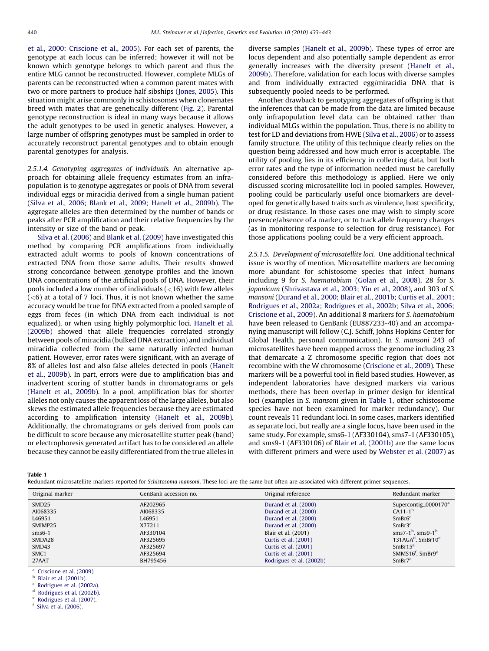[et al., 2000; Criscione et al., 2005](#page-8-0)). For each set of parents, the genotype at each locus can be inferred; however it will not be known which genotype belongs to which parent and thus the entire MLG cannot be reconstructed. However, complete MLGs of parents can be reconstructed when a common parent mates with two or more partners to produce half sibships [\(Jones, 2005](#page-9-0)). This situation might arise commonly in schistosomes when clonemates breed with mates that are genetically different ([Fig. 2](#page-3-0)). Parental genotype reconstruction is ideal in many ways because it allows the adult genotypes to be used in genetic analyses. However, a large number of offspring genotypes must be sampled in order to accurately reconstruct parental genotypes and to obtain enough parental genotypes for analysis.

2.5.1.4. Genotyping aggregates of individuals. An alternative approach for obtaining allele frequency estimates from an infrapopulation is to genotype aggregates or pools of DNA from several individual eggs or miracidia derived from a single human patient ([Silva et al., 2006; Blank et al., 2009; Hanelt et al., 2009b](#page-10-0)). The aggregate alleles are then determined by the number of bands or peaks after PCR amplification and their relative frequencies by the intensity or size of the band or peak.

[Silva et al. \(2006\)](#page-10-0) and [Blank et al. \(2009\)](#page-8-0) have investigated this method by comparing PCR amplifications from individually extracted adult worms to pools of known concentrations of extracted DNA from those same adults. Their results showed strong concordance between genotype profiles and the known DNA concentrations of the artificial pools of DNA. However, their pools included a low number of individuals  $(<16)$  with few alleles  $(<$ 6) at a total of 7 loci. Thus, it is not known whether the same accuracy would be true for DNA extracted from a pooled sample of eggs from feces (in which DNA from each individual is not equalized), or when using highly polymorphic loci. [Hanelt et al.](#page-9-0) [\(2009b\)](#page-9-0) showed that allele frequencies correlated strongly between pools of miracidia (bulked DNA extraction) and individual miracidia collected from the same naturally infected human patient. However, error rates were significant, with an average of 8% of alleles lost and also false alleles detected in pools [\(Hanelt](#page-9-0) [et al., 2009b](#page-9-0)). In part, errors were due to amplification bias and inadvertent scoring of stutter bands in chromatograms or gels ([Hanelt et al., 2009b\)](#page-9-0). In a pool, amplification bias for shorter alleles not only causes the apparent loss of the large alleles, but also skews the estimated allele frequencies because they are estimated according to amplification intensity [\(Hanelt et al., 2009b\)](#page-9-0). Additionally, the chromatograms or gels derived from pools can be difficult to score because any microsatellite stutter peak (band) or electrophoresis generated artifact has to be considered an allele because they cannot be easily differentiated from the true alleles in

diverse samples ([Hanelt et al., 2009b\)](#page-9-0). These types of error are locus dependent and also potentially sample dependent as error generally increases with the diversity present ([Hanelt et al.,](#page-9-0) [2009b\)](#page-9-0). Therefore, validation for each locus with diverse samples and from individually extracted egg/miracidia DNA that is subsequently pooled needs to be performed.

Another drawback to genotyping aggregates of offspring is that the inferences that can be made from the data are limited because only infrapopulation level data can be obtained rather than individual MLGs within the population. Thus, there is no ability to test for LD and deviations from HWE [\(Silva et al., 2006](#page-10-0)) or to assess family structure. The utility of this technique clearly relies on the question being addressed and how much error is acceptable. The utility of pooling lies in its efficiency in collecting data, but both error rates and the type of information needed must be carefully considered before this methodology is applied. Here we only discussed scoring microsatellite loci in pooled samples. However, pooling could be particularly useful once biomarkers are developed for genetically based traits such as virulence, host specificity, or drug resistance. In those cases one may wish to simply score presence/absence of a marker, or to track allele frequency changes (as in monitoring response to selection for drug resistance). For those applications pooling could be a very efficient approach.

2.5.1.5. Development of microsatellite loci. One additional technical issue is worthy of mention. Microsatellite markers are becoming more abundant for schistosome species that infect humans including 9 for S. haematobium [\(Golan et al., 2008](#page-9-0)), 28 for S. japonicum ([Shrivastava et al., 2003; Yin et al., 2008](#page-10-0)), and 303 of S. mansoni ([Durand et al., 2000; Blair et al., 2001b; Curtis et al., 2001;](#page-9-0) [Rodrigues et al., 2002a; Rodrigues et al., 2002b; Silva et al., 2006;](#page-9-0) [Criscione et al., 2009](#page-9-0)). An additional 8 markers for S. haematobium have been released to GenBank (EU887233-40) and an accompanying manuscript will follow (C.J. Schiff, Johns Hopkins Center for Global Health, personal communication). In S. mansoni 243 of microsatellites have been mapped across the genome including 23 that demarcate a Z chromosome specific region that does not recombine with the W chromosome ([Criscione et al., 2009\)](#page-8-0). These markers will be a powerful tool in field based studies. However, as independent laboratories have designed markers via various methods, there has been overlap in primer design for identical loci (examples in S. mansoni given in Table 1, other schistosome species have not been examined for marker redundancy). Our count reveals 11 redundant loci. In some cases, markers identified as separate loci, but really are a single locus, have been used in the same study. For example, sms6-1 (AF330104), sms7-1 (AF330105), and sms9-1 (AF330106) of [Blair et al. \(2001b\)](#page-8-0) are the same locus with different primers and were used by [Webster et al. \(2007\)](#page-10-0) as

Table 1

Redundant microsatellite markers reported for Schistosoma mansoni. These loci are the same but often are associated with different primer sequences.

| Original marker                                                                                       | GenBank accession no.                                                                    | Original reference                                                                                                                                                                          | Redundant marker                                                                                                                                                                                                              |
|-------------------------------------------------------------------------------------------------------|------------------------------------------------------------------------------------------|---------------------------------------------------------------------------------------------------------------------------------------------------------------------------------------------|-------------------------------------------------------------------------------------------------------------------------------------------------------------------------------------------------------------------------------|
| SMD <sub>25</sub><br>AI068335<br>L46951<br>SMIMP25<br>$sms6-1$<br>SMDA28<br>SMD43<br>SMC <sub>1</sub> | AF202965<br>AI068335<br>L46951<br>X77211<br>AF330104<br>AF325695<br>AF325697<br>AF325694 | Durand et al. (2000)<br>Durand et al. (2000)<br>Durand et al. (2000)<br>Durand et al. (2000)<br>Blair et al. (2001)<br>Curtis et al. (2001)<br>Curtis et al. (2001)<br>Curtis et al. (2001) | Supercontig_0000170 <sup>a</sup><br>$CA11-1b$<br>SmBr6 <sup>c</sup><br>SmBr3 <sup>c</sup><br>sms $7-1^b$ , sms $9-1^b$<br>13TAGA <sup>d</sup> , SmBr10 <sup>e</sup><br>SmBr15 <sup>e</sup><br>$SMMS16^f$ . SmBr9 <sup>e</sup> |
| 27AAT                                                                                                 | BH795456                                                                                 | Rodrigues et al. (2002b)                                                                                                                                                                    | SmBr7 <sup>e</sup>                                                                                                                                                                                                            |

<sup>a</sup> [Criscione et al. \(2009\).](#page-8-0)

<sup>b</sup> [Blair et al. \(2001b\)](#page-8-0).

<sup>c</sup> [Rodrigues et al. \(2002a\).](#page-9-0)

<sup>d</sup> [Rodrigues et al. \(2002b\)](#page-10-0).

[Rodrigues et al. \(2007\)](#page-10-0).

<sup>f</sup> [Silva et al. \(2006\)](#page-10-0).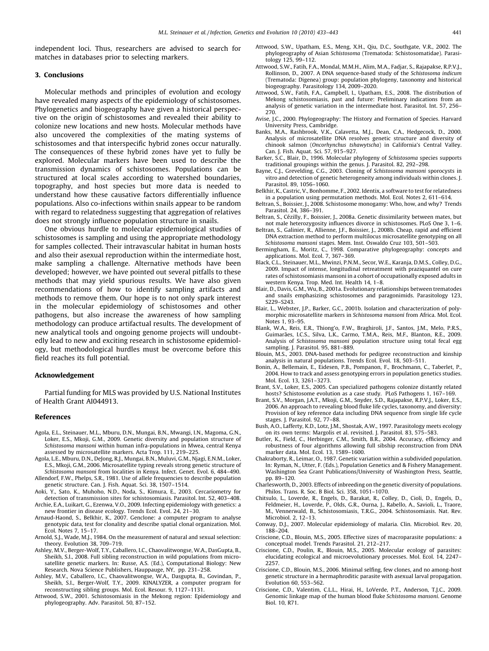<span id="page-8-0"></span>independent loci. Thus, researchers are advised to search for matches in databases prior to selecting markers.

#### 3. Conclusions

Molecular methods and principles of evolution and ecology have revealed many aspects of the epidemiology of schistosomes. Phylogenetics and biogeography have given a historical perspective on the origin of schistosomes and revealed their ability to colonize new locations and new hosts. Molecular methods have also uncovered the complexities of the mating systems of schistosomes and that interspecific hybrid zones occur naturally. The consequences of these hybrid zones have yet to fully be explored. Molecular markers have been used to describe the transmission dynamics of schistosomes. Populations can be structured at local scales according to watershed boundaries, topography, and host species but more data is needed to understand how these causative factors differentially influence populations. Also co-infections within snails appear to be random with regard to relatedness suggesting that aggregation of relatives does not strongly influence population structure in snails.

One obvious hurdle to molecular epidemiological studies of schistosomes is sampling and using the appropriate methodology for samples collected. Their intravascular habitat in human hosts and also their asexual reproduction within the intermediate host, make sampling a challenge. Alternative methods have been developed; however, we have pointed out several pitfalls to these methods that may yield spurious results. We have also given recommendations of how to identify sampling artifacts and methods to remove them. Our hope is to not only spark interest in the molecular epidemiology of schistosomes and other pathogens, but also increase the awareness of how sampling methodology can produce artifactual results. The development of new analytical tools and ongoing genome projects will undoubtedly lead to new and exciting research in schistosome epidemiology, but methodological hurdles must be overcome before this field reaches its full potential.

#### Acknowledgement

Partial funding for MLS was provided by U.S. National Institutes of Health Grant AI044913.

#### References

- Agola, E.L., Steinauer, M.L., Mburu, D.N., Mungai, B.N., Mwangi, I.N., Magoma, G.N., Loker, E.S., Mkoji, G.M., 2009. Genetic diversity and population structure of Schistosoma mansoni within human infra-populations in Mwea, central Kenya assessed by microsatellite markers. Acta Trop. 111, 219–225.
- Agola, L.E., Mburu, D.N., DeJong, R.J., Mungai, B.N., Muluvi, G.M., Njagi, E.N.M., Loker, E.S., Mkoji, G.M., 2006. Microsatellite typing reveals strong genetic structure of Schistosoma mansoni from localities in Kenya. Infect. Genet. Evol. 6, 484–490.
- Allendorf, F.W., Phelps, S.R., 1981. Use of allele frequencies to describe population genetic structure. Can. J. Fish. Aquat. Sci. 38, 1507–1514.
- Aoki, Y., Sato, K., Muhoho, N.D., Noda, S., Kimura, E., 2003. Cercariometry for detection of transmission sites for schistosomiasis. Parasitol. Int. 52, 403–408.
- Archie, E.A., Luikart, G., Ezenwa, V.O., 2009. Infecting epidemiology with genetics: a new frontier in disease ecology. Trends Ecol. Evol. 24, 21–30.
- Arnaud-Haond, S., Belkhir, K., 2007. Genclone: a computer program to analyse genotypic data, test for clonality and describe spatial clonal organization. Mol. Ecol. Notes 7, 15–17.
- Arnold, S.J., Wade, M.J., 1984. On the measurement of natural and sexual selection: theory. Evolution 38, 709–719.
- Ashley, M.V., Berger-Wolf, T.Y., Caballero, I.C., Chaovalitwongse, W.A., DasGupta, B., Sheikh, S.I., 2008. Full sibling reconstruction in wild populations from microsatellite genetic markers. In: Russe, A.S. (Ed.), Computational Biology: New Research. Nova Science Publishers, Hauppauge, NY, pp. 231–258.
- Ashley, M.V., Caballero, I.C., Chaovalitwongse, W.A., Dasgupta, B., Govindan, P., Sheikh, S.I., Berger-Wolf, T.Y., 2009. KINALYZER, a computer program for reconstructing sibling groups. Mol. Ecol. Resour. 9, 1127–1131.
- Attwood, S.W., 2001. Schistosomiasis in the Mekong region: Epidemiology and phylogeography. Adv. Parasitol. 50, 87–152.
- Attwood, S.W., Upatham, E.S., Meng, X.H., Qiu, D.C., Southgate, V.R., 2002. The phylogeography of Asian Schistosoma (Trematoda: Schistosomatidae). Parasitology 125, 99–112.
- Attwood, S.W., Fatih, F.A., Mondal, M.M.H., Alim, M.A., Fadjar, S., Rajapakse, R.P.V.J., Rollinson, D., 2007. A DNA sequence-based study of the Schistosoma indicum (Trematoda: Digenea) group: population phylogeny, taxonomy and historical biogeography. Parasitology 134, 2009–2020.
- Attwood, S.W., Fatih, F.A., Campbell, I., Upatham, E.S., 2008. The distribution of Mekong schistosomiasis, past and future: Preliminary indications from an analysis of genetic variation in the intermediate host. Parasitol. Int. 57, 256– 270.
- Avise, J.C., 2000. Phylogeography: The History and Formation of Species. Harvard University Press, Cambridge.
- Banks, M.A., Rashbrook, V.K., Calavetta, M.J., Dean, C.A., Hedgecock, D., 2000. Analysis of microsatellite DNA resolves genetic structure and diversity of chinook salmon (Oncorhynchus tshawytscha) in California's Central Valley. Can. J. Fish. Aquat. Sci. 57, 915–927.
- Barker, S.C., Blair, D., 1996. Molecular phylogeny of Schistosoma species supports traditional groupings within the genus. J. Parasitol. 82, 292–298.
- Bayne, C.J., Grevelding, C.G., 2003. Cloning of Schistosoma mansoni sporocysts in vitro and detection of genetic heterogeneity among individuals within clones. J. Parasitol. 89, 1056–1060.
- Belkhir, K., Castric, V., Bonhomme, F., 2002. Identix, a software to test for relatedness in a population using permutation methods. Mol. Ecol. Notes 2, 611–614.
- Beltran, S., Boissier, J., 2008. Schistosome monogamy: Who, how, and why? Trends Parasitol. 24, 386–391.
- Beltran, S., Cézilly, F., Boissier, J., 2008a. Genetic dissimilarity between mates, but not male heterozygosity influences divorce in schistosomes. PLoS One 3, 1–6.
- Beltran, S., Galinier, R., Allienne, J.F., Boissier, J., 2008b. Cheap, rapid and efficient DNA extraction method to perform multilocus microsatellite genotyping on all Schistosoma mansoni stages. Mem. Inst. Oswaldo Cruz 103, 501–503.
- Bermingham, E., Moritz, C., 1998. Comparative phylogeography: concepts and applications. Mol. Ecol. 7, 367–369.
- Black, C.L., Steinauer, M.L., Mwinzi, P.N.M., Secor, W.E., Karanja, D.M.S., Colley, D.G., 2009. Impact of intense, longitudinal retreatment with praziquantel on cure rates of schistosomiasis mansoni in a cohort of occupationally exposed adults in western Kenya. Trop. Med. Int. Health 14, 1–8.
- Blair, D., Davis, G.M., Wu, B., 2001a. Evolutionary relationships between trematodes and snails emphasizing schistosomes and paragonimids. Parasitology 123, S229–S243.
- Blair, L., Webster, J.P., Barker, G.C., 2001b. Isolation and characterization of polymorphic microsatellite markers in Schistosoma mansoni from Africa. Mol. Ecol. Notes 1, 93–95.
- Blank, W.A., Reis, E.R., Thiong'o, F.W., Braghiroli, J.F., Santos, J.M., Melo, P.R.S., Guimarães, I.C.S., Silva, L.K., Carmo, T.M.A., Reis, M.F., Blanton, R.E., 2009. Analysis of Schistosoma mansoni population structure using total fecal egg
- sampling. J. Parasitol. 95, 881–889. Blouin, M.S., 2003. DNA-based methods for pedigree reconstruction and kinship analysis in natural populations. Trends Ecol. Evol. 18, 503–511.
- Bonin, A., Bellemain, E., Eidesen, P.B., Pompanon, F., Brochmann, C., Taberlet, P., 2004. How to track and assess genotyping errors in population genetics studies. Mol. Ecol. 13, 3261–3273.
- Brant, S.V., Loker, E.S., 2005. Can specialized pathogens colonize distantly related hosts? Schistosome evolution as a case study. PLoS Pathogens 1, 167–169.
- Brant, S.V., Morgan, J.A.T., Mkoji, G.M., Snyder, S.D., Rajapakse, R.P.V.J., Loker, E.S., 2006. An approach to revealing blood fluke life cycles, taxonomy, and diversity: Provision of key reference data including DNA sequence from single life cycle stages. J. Parasitol. 92, 77–88.
- Bush, A.O., Lafferty, K.D., Lotz, J.M., Shostak, A.W., 1997. Parasitology meets ecology on its own terms: Margolis et al. revisited. J. Parasitol. 83, 575–583.
- Butler, K., Field, C., Herbinger, C.M., Smith, B.R., 2004. Accuracy, efficiency and robustness of four algorithms allowing full sibship reconstruction from DNA marker data. Mol. Ecol. 13, 1589–1600.
- Chakraborty, R., Leimar, O., 1987. Genetic variation within a subdivided population. In: Ryman, N., Utter, F. (Eds.), Population Genetics and & Fishery Management. Washington Sea Grant Publications/University of Washington Press, Seattle, pp. 89–120.
- Charlesworth, D., 2003. Effects of inbreeding on the genetic diversity of populations. Philos. Trans. R. Soc. B Biol. Sci. 358, 1051–1070.
- Chitsulo, L., Loverde, R., Engels, D., Barakat, R., Colley, D., Cioli, D., Engels, D., Feldmeier, H., Loverde, P., Olds, G.R., Ourna, J., Rabello, A., Savioli, L., Traore, M., Vennerwald, B., Schistosomiasis, T.R.G., 2004. Schistosomiasis. Nat. Rev. Microbiol. 2, 12–13.
- Conway, D.J., 2007. Molecular epidemiology of malaria. Clin. Microbiol. Rev. 20, 188–204.
- Criscione, C.D., Blouin, M.S., 2005. Effective sizes of macroparasite populations: a conceptual model. Trends Parasitol. 21, 212–217.
- Criscione, C.D., Poulin, R., Blouin, M.S., 2005. Molecular ecology of parasites: elucidating ecological and microevolutionary processes. Mol. Ecol. 14, 2247– 2257.
- Criscione, C.D., Blouin, M.S., 2006. Minimal selfing, few clones, and no among-host genetic structure in a hermaphroditic parasite with asexual larval propagation. Evolution 60, 553–562.
- Criscione, C.D., Valentim, C.L.L., Hirai, H., LoVerde, P.T., Anderson, T.J.C., 2009. Genomic linkage map of the human blood fluke Schistosoma mansoni. Genome Biol. 10, R71.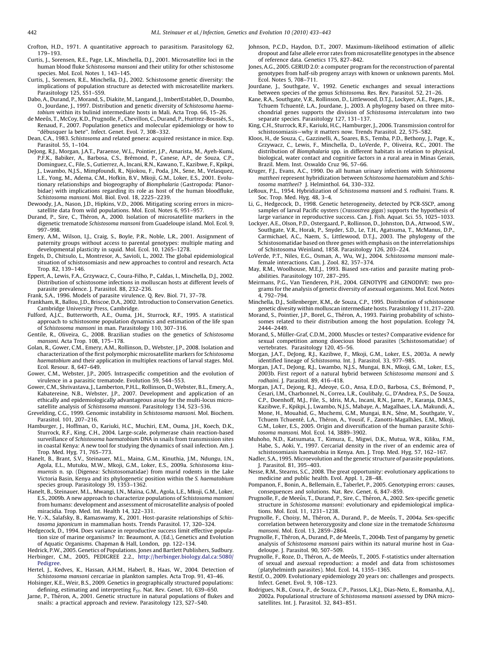<span id="page-9-0"></span>Crofton, H.D., 1971. A quantitative approach to parasitism. Parasitology 62, 179–193.

- Curtis, J., Sorensen, R.E., Page, L.K., Minchella, D.J., 2001. Microsatellite loci in the human blood fluke Schistosoma mansoni and their utility for other schistosome species. Mol. Ecol. Notes 1, 143–145.
- Curtis, J., Sorensen, R.E., Minchella, D.J., 2002. Schistosome genetic diversity: the implications of population structure as detected with microsatellite markers. Parasitology 125, S51-S59.
- Dabo, A., Durand, P., Morand, S., Diakite, M., Langand, J., ImbertEstablet, D., Doumbo, O., Jourdane, J., 1997. Distribution and genetic diversity of Schistosoma haematobium within its bulinid intermediate hosts in Mali. Acta Trop. 66, 15–26.
- de Meeûs, T., McCoy, K.D., Prugnolle, F., Chevillon, C., Durand, P., Hurtrez-Boussés, S., Renaud, F., 2007. Population genetics and molecular epidemiology or how to ''de´busquer la bete''. Infect. Genet. Evol. 7, 308–332.
- Dean, C.A., 1983. Schistosoma and related genera: acquired resistance in mice. Exp. Parasitol. 55, 1–104.
- DeJong, R.J., Morgan, J.A.T., Paraense, W.L., Pointier, J.P., Amarista, M., Ayeh-Kumi, P.F.K., Babiker, A., Barbosa, C.S., Brémond, P., Canese, A.P., de Souza, C.P., Dominguez, C., File, S., Gutierrez, A., Incani, R.N., Kawano, T., Kazibwe, F., Kpikpi, J., Lwambo, N.J.S., Mimpfoundi, R., Njiokou, F., Poda, J.N., Sene, M., Velasquez, L.E., Yong, M., Adema, C.M., Hofkin, B.V., Mkoji, G.M., Loker, E.S., 2001. Evolutionary relationships and biogeography of Biomphalaria (Gastropoda: Planorbidae) with implications regarding its role as host of the human bloodfluke, Schistosoma mansoni. Mol. Biol. Evol. 18, 2225–2239.
- Dewoody, J.A., Nason, J.D., Hipkins, V.D., 2006. Mitigating scoring errors in microsatellite data from wild populations. Mol. Ecol. Notes 6, 951–957.
- Durand, P., Sire, C., Théron, A., 2000. Isolation of microsatellite markers in the digenetic trematode Schistosoma mansoni from Guadeloupe island. Mol. Ecol. 9, 997–998.
- Emery, A.M., Wilson, I.J., Craig, S., Boyle, P.R., Noble, L.R., 2001. Assignment of paternity groups without access to parental genotypes: multiple mating and developmental plasticity in squid. Mol. Ecol. 10, 1265–1278.
- Engels, D., Chitsulo, L., Montresor, A., Savioli, L., 2002. The global epidemiological situation of schistosomiasis and new approaches to control and research. Acta Trop. 82, 139–146.
- Eppert, A., Lewis, F.A., Grzywacz, C., Coura-Filho, P., Caldas, I., Minchella, D.J., 2002. Distribution of schistosome infections in molluscan hosts at different levels of parasite prevalence. J. Parasitol. 88, 232–236.
- Frank, S.A., 1996. Models of parasite virulence. Q. Rev. Biol. 71, 37–78.
- Frankham, R., Ballou, J.D., Briscoe, D.A., 2002. Introduction to Conservation Genetics. Cambridge University Press, Cambridge.
- Fulford, A.J.C., Butterworth, A.E., Ouma, J.H., Sturrock, R.F., 1995. A statistical approach to schistosome population dynamics and estimation of the life span of Schistosoma mansoni in man. Parasitology 110, 307–316.
- Gentile, R., Oliveira, G., 2008. Brazilian studies on the genetics of Schistosoma mansoni. Acta Trop. 108, 175–178.
- Golan, R., Gower, C.M., Emery, A.M., Rollinson, D., Webster, J.P., 2008. Isolation and characterization of the first polymorphic microsatellite markers for Schistosoma haematobium and their application in multiplex reactions of larval stages. Mol. Ecol. Resour. 8, 647–649.
- Gower, C.M., Webster, J.P., 2005. Intraspecific competition and the evolution of virulence in a parasitic trematode. Evolution 59, 544–553.
- Gower, C.M., Shrivastava, J., Lamberton, P.H.L., Rollinson, D., Webster, B.L., Emery, A., Kabatereine, N.B., Webster, J.P., 2007. Development and application of an ethically and epidemiologically advantageous assay for the multi-locus microsatellite analysis of Schistosoma mansoni. Parasitology 134, 523–536.
- Grevelding, C.G., 1999. Genomic instability in Schistosoma mansoni. Mol. Biochem. Parasitol. 101, 207–216.
- Hamburger, J., Hoffman, O., Kariuki, H.C., Muchiri, E.M., Ouma, J.H., Koech, D.K., Sturrock, R.F., King, C.H., 2004. Large-scale, polymerase chain reaction-based surveillance of Schistosoma haematobium DNA in snails from transmission sites in coastal Kenya: A new tool for studying the dynamics of snail infection. Am. J. Trop. Med. Hyg. 71, 765–773.
- Hanelt, B., Brant, S.V., Steinauer, M.L., Maina, G.M., Kinuthia, J.M., Ndungu, I.N., Agola, E.L., Mutuku, M.W., Mkoji, G.M., Loker, E.S., 2009a. Schistosoma kisumuensis n. sp. (Digenea: Schistosomatidae) from murid rodents in the Lake Victoria Basin, Kenya and its phylogenetic position within the S. haematobium species group. Parasitology 39, 1353–1362.
- Hanelt, B., Steinauer, M.L., Mwangi, I.N., Maina, G.M., Agola, L.E., Mkoji, G.M., Loker, E.S., 2009b. A new approach to characterize populations of Schistosoma mansoni from humans: development and assessment of microsatellite analysis of pooled miracidia. Trop. Med. Int. Health 14, 322–331.
- He, Y.-X., Salafsky, B., Ramaswamy, K., 2001. Host-parasite relationships of Schistosoma japonicum in mammalian hosts. Trends Parasitol. 17, 320–324.
- Hedgecock, D., 1994. Does variance in reproductive success limit effective population size of marine organisms? In: Beaumont, A. (Ed.), Genetics and Evolution of Aquatic Organisms. Chapman & Hall, London, pp. 122–134.
- Hedrick, P.W., 2005. Genetics of Populations. Jones and Bartlett Publishers, Sudbury. Herbinger, C.M., 2005, PEDIGREE 2.2., [http://herbinger.biology.dal.ca:5080/](http://herbinger.biology.dal.ca:5080/Pedigree) [Pedigree.](http://herbinger.biology.dal.ca:5080/Pedigree)
- Hertel, J., Kedves, K., Hassan, A.H.M., Haberl, B., Haas, W., 2004. Detection of Schistosoma mansoni cercariae in plankton samples. Acta Trop. 91, 43–46.
- Holsinger, K.E., Weir, B.S., 2009. Genetics in geographically structured populations: defining, estimating and interpreting F<sub>ST</sub>. Nat. Rev. Genet. 10, 639-650.
- Jarne, P., Théron, A., 2001. Genetic structure in natural populations of flukes and snails: a practical approach and review. Parasitology 123, S27–S40.
- Johnson, P.C.D., Haydon, D.T., 2007. Maximum-likelihood estimation of allelic dropout and false allele error rates from microsatellite genotypes in the absence of reference data. Genetics 175, 827–842.
- Jones, A.G., 2005. GERUD 2.0: a computer program for the reconstruction of parental genotypes from half-sib progeny arrays with known or unknown parents. Mol. Ecol. Notes 5, 708–711.
- Jourdane, J., Southgate, V., 1992. Genetic exchanges and sexual interactions between species of the genus Schistosoma. Res. Rev. Parasitol. 52, 21–26.
- Kane, R.A., Southgate, V.R., Rollinson, D., Littlewood, D.T.J., Lockyer, A.E., Pages, J.R., Tchuem Tchuenté, L.A., Jourdane, J., 2003. A phylogeny based on three mitochondrial genes supports the division of Schistosoma intercalatum into two separate species. Parasitology 127, 131–137.
- King, C.H., Sturrock, R.F., Kariuki, H.C., Hamburger, J., 2006. Transmission control for schistosomiasis—why it matters now. Trends Parasitol. 22, 575–582.
- Kloos, H., de Souza, C., Gazzinelli, A., Soares, B.S., Temba, P.D., Bethony, J., Page, K., Grzywacz, C., Lewis, F., Minchella, D., LoVerde, P., Oliveira, R.C., 2001. The distribution of Biomphalaria spp. in different habitats in relation to physical, biological, water contact and cognitive factors in a rural area in Minas Gerais, Brazil. Mem. Inst. Oswaldo Cruz 96, 57–66.
- Kruger, F.J., Evans, A.C., 1990. Do all human urinary infections with Schistosoma mattheei represent hybridization between Schistosoma haematobium and Schistosoma mattheei? J. Helminthol. 64, 330–332.
- LeRoux, P.L., 1954. Hybridization of Schistosoma mansoni and S. rodhaini. Trans. R. Soc. Trop. Med. Hyg. 48, 3–4.
- Li, G., Hedgecock, D., 1998. Genetic heterogeneity, detected by PCR-SSCP, among samples of larval Pacific oysters (Crassostrea gigas) supports the hypothesis of large variance in reproductive success. Can. J. Fish. Aquat. Sci. 55, 1025–1033.
- Lockyer, A.E., Olson, P.D., Ostergaard, P., Rollinson, D., Johnston, D.A., Attwood, S.W., Southgate, V.R., Horak, P., Snyder, S.D., Le, T.H., Agatsuma, T., McManus, D.P., Carmichael, A.C., Naem, S., Littlewood, D.T.J., 2003. The phylogeny of the Schistosomatidae based on three genes with emphasis on the interrelationships of Schistosoma Weinland, 1858. Parasitology 126, 203–224.
- LoVerde, P.T., Niles, E.G., Osman, A., Wu, W.J., 2004. Schistosoma mansoni male-
- female interactions. Can. J. Zool. 82, 357–374. May, R.M., Woolhouse, M.E.J., 1993. Biased sex-ratios and parasite mating probabilities. Parasitology 107, 287–295.
- Meirmans, P.G., Van Tienderen, P.H., 2004. GENOTYPE and GENODIVE: two programs for the analysis of genetic diversity of asexual organisms. Mol. Ecol. Notes 4, 792–794.
- Minchella, D.J., Sollenberger, K.M., de Souza, C.P., 1995. Distribution of schistosome genetic divesity within molluscan intermediate hosts. Parasitology 111, 217–220.
- Morand, S., Pointier, J.P., Borel, G., Théron, A., 1993. Pairing probability of schistosomes related to their distribution among the host population. Ecology 74, 2444–2449.
- Morand, S., Müller-Graf, C.D.M., 2000. Muscles or testes? Comparative evidence for sexual competition among dioecious blood parasites (Schistosomatidae) of vertebrates. Parasitology 120, 45–56.
- Morgan, J.A.T., DeJong, R.J., Kazibwe, F., Mkoji, G.M., Loker, E.S., 2003a. A newly identified lineage of Schistosoma. Int. J. Parasitol. 33, 977–985.
- Morgan, J.A.T., DeJong, R.J., Lwambo, N.J.S., Mungai, B.N., Mkoji, G.M., Loker, E.S., 2003b. First report of a natural hybrid between Schistosoma mansoni and S. rodhaini. J. Parasitol. 89, 416–418.
- Morgan, J.A.T., Dejong, R.J., Adeoye, G.O., Ansa, E.D.O., Barbosa, C.S., Brémond, P.,<br>Cesari, I.M., Charbonnel, N., Correa, L.R., Coulibaly, G., D'Andrea, P.S., De Souza, C.P., Doenhoff, M.J., File, S., Idris, M.A., Incani, R.N., Jarne, P., Karanja, D.M.S., Kazibwe, F., Kpikpi, J., Lwambo, N.J.S., Mabaye, A., Magalhaes, L.A., Makundi, A., Mone, H., Mouahid, G., Muchemi, G.M., Mungai, B.N., Séne, M., Southgate, V., Tchuem Tchuenté, L.A., Théron, A., Yousif, F., Zanotti-Magalhães, E.M., Mkoji, G.M., Loker, E.S., 2005. Origin and diversification of the human parasite Schistosoma mansoni. Mol. Ecol. 14, 3889–3902.
- Muhoho, N.D., Katsumata, T., Kimura, E., Migwi, D.K., Mutua, W.R., Kiliku, F.M., Habe, S., Aoki, Y., 1997. Cercarial density in the river of an endemic area of schistosomiasis haematobia in Kenya. Am. J. Trop. Med. Hyg. 57, 162–167.
- Nadler, S.A., 1995. Microevolution and the genetic structure of parasite populations. J. Parasitol. 81, 395–403.
- Nesse, R.M., Stearns, S.C., 2008. The great opportunity: evolutionary applications to medicine and public health. Evol. Appl. 1, 28–48.
- Pompanon, F., Bonin, A., Bellemain, E., Taberlet, P., 2005. Genotyping errors: causes, consequences and solutions. Nat. Rev. Genet. 6, 847–859.
- Prugnolle, F., de Meeûs, T., Durand, P., Sire, C., Théron, A., 2002. Sex-specific genetic structure in Schistosoma mansoni: evolutionary and epidemiological implications. Mol. Ecol. 11, 1231–1238.
- Prugnolle, F., Choisy, M., Théron, A., Durand, P., de Meeûs, T., 2004a. Sex-specific correlation between heterozygosity and clone size in the trematode Schistosma mansoni. Mol. Ecol. 13, 2859–2864.
- Prugnolle, F., Théron, A., Durand, P., de Meeûs, T., 2004b. Test of pangamy by genetic analysis of Schistosoma mansoni pairs within its natural murine host in Guadeloupe. J. Parasitol. 90, 507–509.
- Prugnolle, F., Roze, D., Théron, A., de Meeûs, T., 2005. F-statistics under alternation of sexual and asexual reproduction: a model and data from schistosomes (platyhelminth parasites). Mol. Ecol. 14, 1355–1365.
- Restif, O., 2009. Evolutionary epidemiology 20 years on: challenges and prospects. Infect. Genet. Evol. 9, 108–123.
- Rodrigues, N.B., Coura, P., de Souza, C.P., Passos, L.K.J., Dias-Neto, E., Romanha, A.J., 2002a. Populational structure of Schistosoma mansoni assessed by DNA microsatellites. Int. J. Parasitol. 32, 843–851.